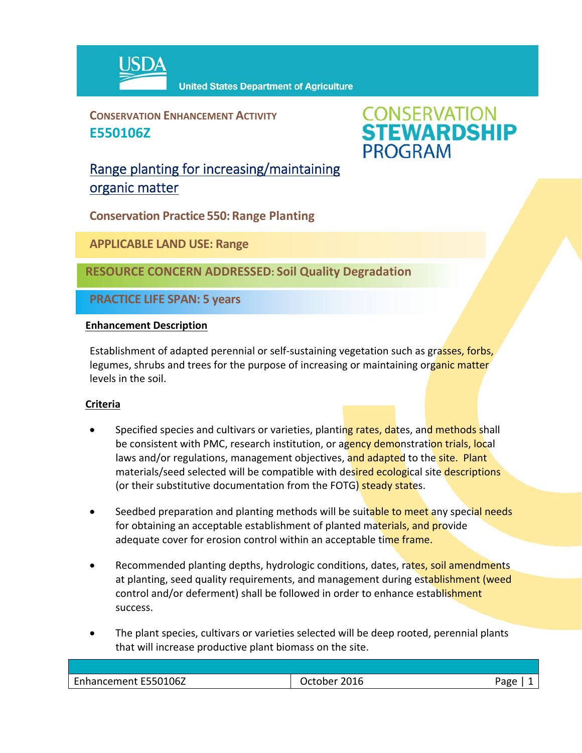

**CONSERVATION ENHANCEMENT ACTIVITY E550106Z**



Range planting for increasing/maintaining organic matter

**Conservation Practice 550: Range Planting**

**APPLICABLE LAND USE: Range**

**RESOURCE CONCERN ADDRESSED: Soil Quality Degradation** 

**PRACTICE LIFE SPAN: 5 years**

## **Enhancement Description**

Establishment of adapted perennial or self-sustaining vegetation such as grasses, forbs, legumes, shrubs and trees for the purpose of increasing or maintaining organic matter levels in the soil.

## **Criteria**

- Specified species and cultivars or varieties, planting rates, dates, and methods shall be consistent with PMC, research institution, or agency demonstration trials, local laws and/or regulations, management objectives, and adapted to the site. Plant materials/seed selected will be compatible with desired ecological site descriptions (or their substitutive documentation from the FOTG) steady states.
- Seedbed preparation and planting methods will be suitable to meet any special needs for obtaining an acceptable establishment of planted materials, and provide adequate cover for erosion control within an acceptable time frame.
- Recommended planting depths, hydrologic conditions, dates, rates, soil amendments at planting, seed quality requirements, and management during establishment (weed control and/or deferment) shall be followed in order to enhance establishment success.
- The plant species, cultivars or varieties selected will be deep rooted, perennial plants that will increase productive plant biomass on the site.

| E550106Z<br>$\sim$<br>∵nnancemen⊤ i | 2016<br>۱her | חסבי |
|-------------------------------------|--------------|------|
|                                     |              |      |